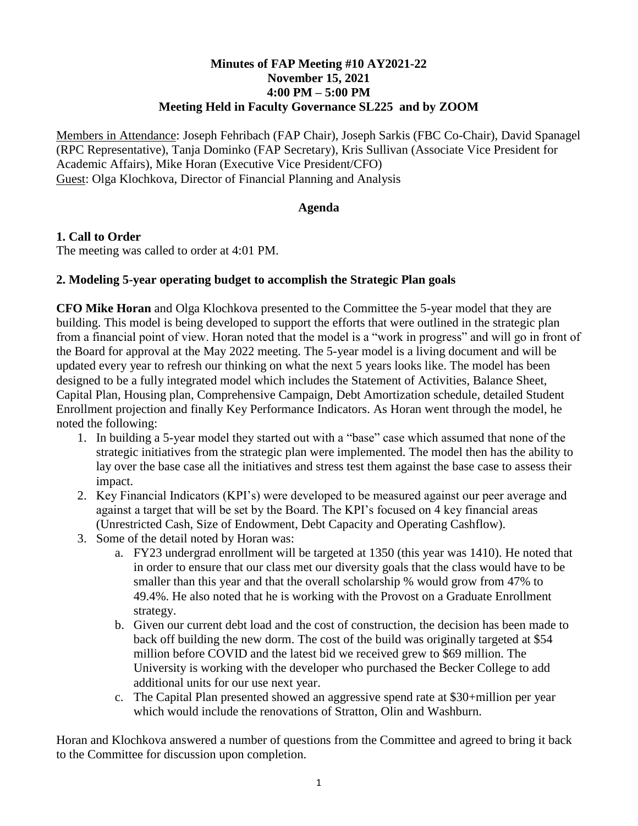# **Minutes of FAP Meeting #10 AY2021-22 November 15, 2021 4:00 PM – 5:00 PM Meeting Held in Faculty Governance SL225 and by ZOOM**

Members in Attendance: Joseph Fehribach (FAP Chair), Joseph Sarkis (FBC Co-Chair), David Spanagel (RPC Representative), Tanja Dominko (FAP Secretary), Kris Sullivan (Associate Vice President for Academic Affairs), Mike Horan (Executive Vice President/CFO) Guest: Olga Klochkova, Director of Financial Planning and Analysis

#### **Agenda**

# **1. Call to Order**

The meeting was called to order at 4:01 PM.

# **2. Modeling 5-year operating budget to accomplish the Strategic Plan goals**

**CFO Mike Horan** and Olga Klochkova presented to the Committee the 5-year model that they are building. This model is being developed to support the efforts that were outlined in the strategic plan from a financial point of view. Horan noted that the model is a "work in progress" and will go in front of the Board for approval at the May 2022 meeting. The 5-year model is a living document and will be updated every year to refresh our thinking on what the next 5 years looks like. The model has been designed to be a fully integrated model which includes the Statement of Activities, Balance Sheet, Capital Plan, Housing plan, Comprehensive Campaign, Debt Amortization schedule, detailed Student Enrollment projection and finally Key Performance Indicators. As Horan went through the model, he noted the following:

- 1. In building a 5-year model they started out with a "base" case which assumed that none of the strategic initiatives from the strategic plan were implemented. The model then has the ability to lay over the base case all the initiatives and stress test them against the base case to assess their impact.
- 2. Key Financial Indicators (KPI's) were developed to be measured against our peer average and against a target that will be set by the Board. The KPI's focused on 4 key financial areas (Unrestricted Cash, Size of Endowment, Debt Capacity and Operating Cashflow).
- 3. Some of the detail noted by Horan was:
	- a. FY23 undergrad enrollment will be targeted at 1350 (this year was 1410). He noted that in order to ensure that our class met our diversity goals that the class would have to be smaller than this year and that the overall scholarship % would grow from 47% to 49.4%. He also noted that he is working with the Provost on a Graduate Enrollment strategy.
	- b. Given our current debt load and the cost of construction, the decision has been made to back off building the new dorm. The cost of the build was originally targeted at \$54 million before COVID and the latest bid we received grew to \$69 million. The University is working with the developer who purchased the Becker College to add additional units for our use next year.
	- c. The Capital Plan presented showed an aggressive spend rate at \$30+million per year which would include the renovations of Stratton, Olin and Washburn.

Horan and Klochkova answered a number of questions from the Committee and agreed to bring it back to the Committee for discussion upon completion.